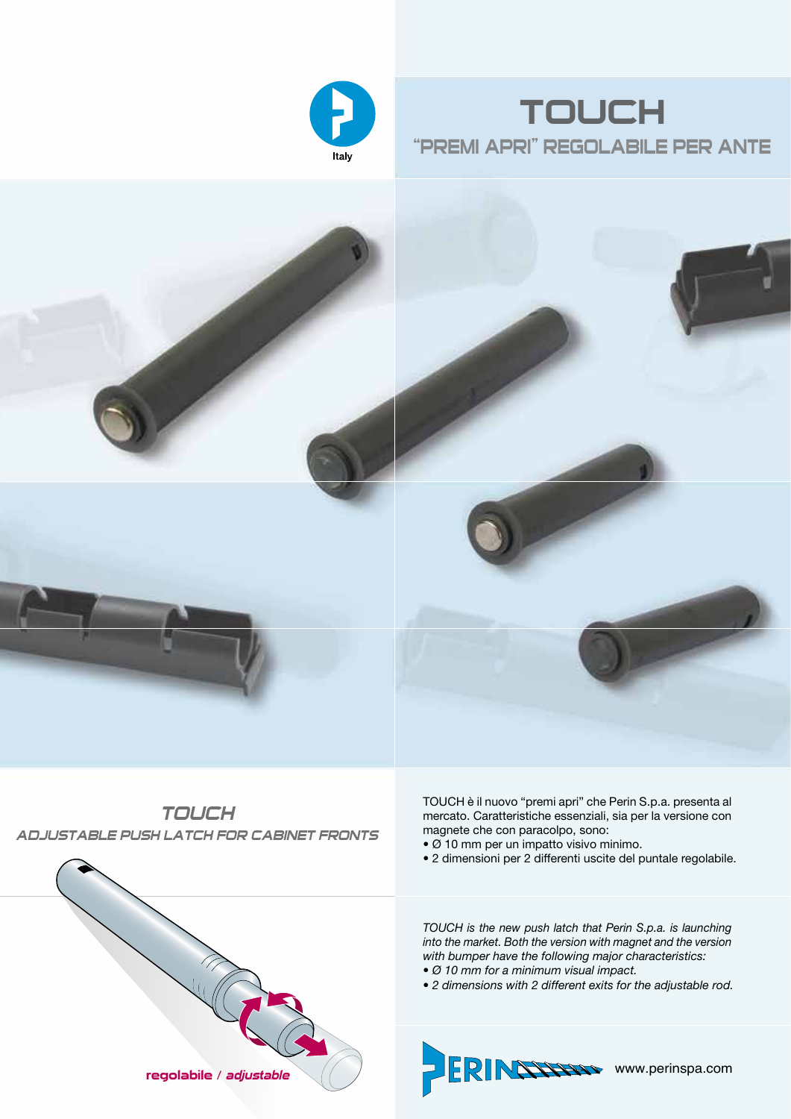





*TOUCH ADJUSTABLE PUSH LATCH FOR CABINET FRONTS*



- Ø 10 mm per un impatto visivo minimo.
- 2 dimensioni per 2 differenti uscite del puntale regolabile.



- 
- *2 dimensions with 2 different exits for the adjustable rod.*

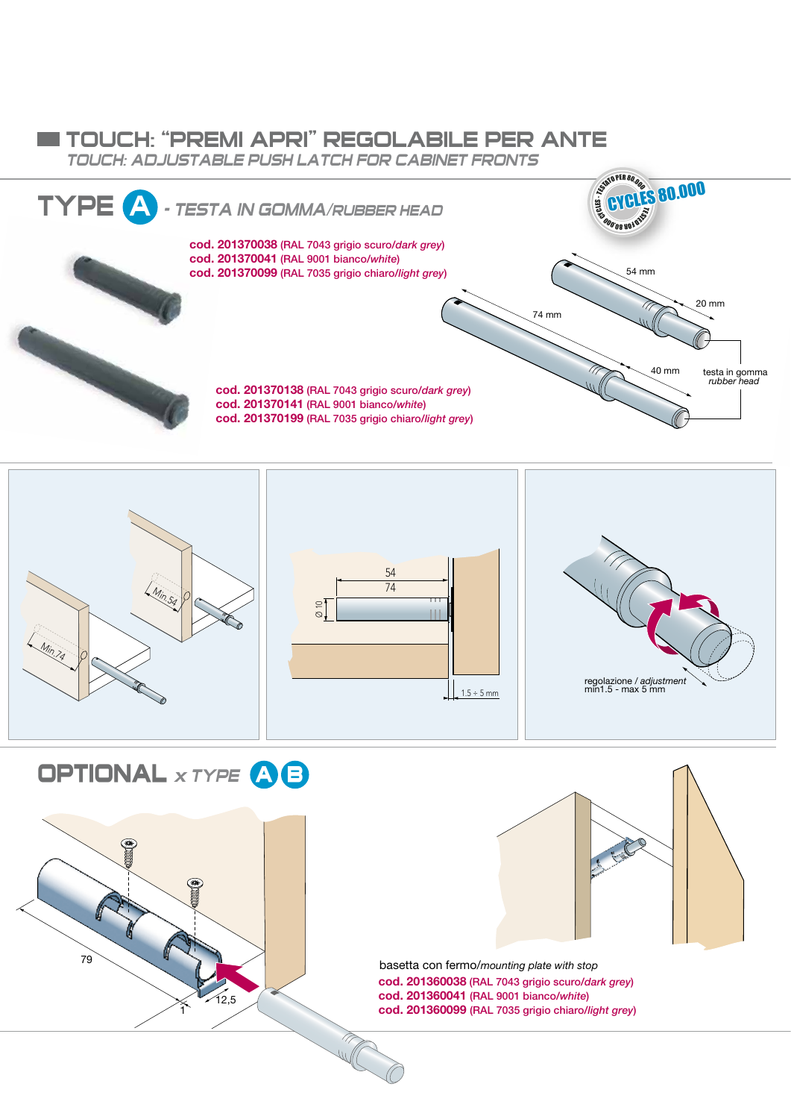## TOUCH: "PREMI APRI" REGOLABILE PER ANTE

*TOUCH: ADJUSTABLE PUSH LATCH FOR CABINET FRONTS* 





**OPTIONAL** *x TYPE* **B A**



basetta con fermo/*mounting plate with stop* cod. 201360038 (RAL 7043 grigio scuro/*dark grey*) cod. 201360041 (RAL 9001 bianco/*white*) cod. 201360099 (RAL 7035 grigio chiaro/*light grey*)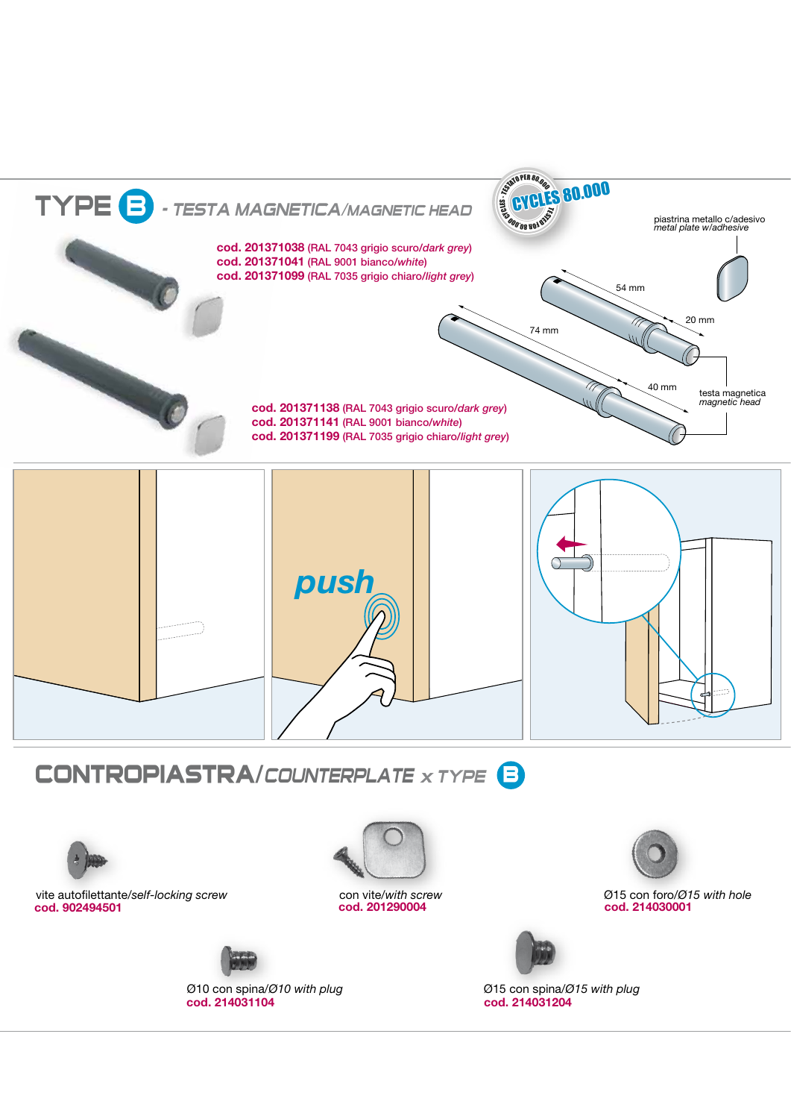

## **CONTROPIASTRA/***COUNTERPLATE x TYPE* **B**



cod. 902494501 cod. 201290004 vite autofilettante/*self-locking screw*



con vite/*with screw*



cod. 214030001 Ø15 con foro/*Ø15 with hole*



cod. 214031104 Ø10 con spina/*Ø10 with plug*



cod. 214031204 Ø15 con spina/*Ø15 with plug*